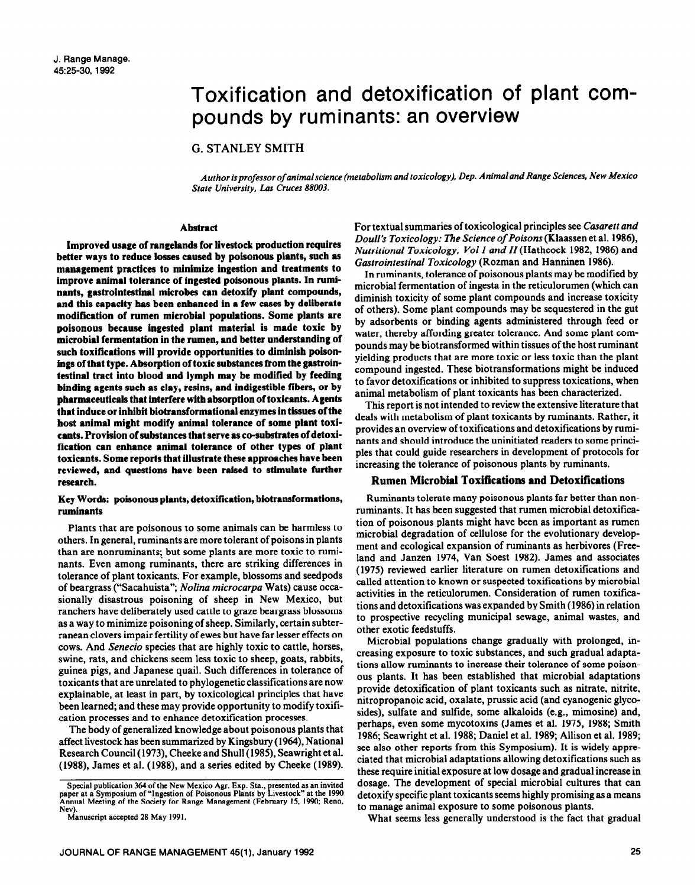# Toxification and detoxification of plant compounds by ruminants: an overview

**G. STANLEY SMITH** 

*Author is Drofessor ofanimal science (metabolism and toxicology), Dep. Animal and Range Sciences, New* **Mexico**  State University, Las Cruces 88003.

## **Abstract**

**Improved usage of rangelnnds for livestock production requires better ways to reduce losses caused by poisonous plants, such as management practices to minimize ingestion and treatments to improve animal tolerance of ingested poisonous plants. In rumi**nants, gastrointestinal microbes can detoxify plant compounds, **and this capacity has** been enhanced **in** a **few cases by** deliberate modification **of rumen microbial populations. Some plants are poisonous because ingested plant material is made toxic by microbial fermentation in the rumen, and better understanding of such toxifications will provide opportunities to diminish poisonings of that type. Absorption of toxic substances from the gastrointestinal tract into blood and lymph may be modifled by feeding binding agents such as clay, resins, and indigestible fibers, or by pharmaceuticals that interfere with absorption of toxicants. Agents that induce or inhibit biotransformational enzymes in tissues of the host animal might modify animal tolerance of some plant toxicants. Provision of substances that serve as co-substrates of detoxification can enhance animal tolerance of other types of plant toxicants. Some reports that illustrate these approaches have been reviewed, and questions have been raised to stimulate further research.** 

# **Key Words: poisonous plants, detoxification, biotransformations, ruminants**

Plants that are poisonous to some animals can be harmless to others. In general, ruminants are more tolerant of poisons in plants than are nonruminants; but some plants are more toxic to ruminants. Even among ruminants, there are striking differences in tolerance of plant toxicants. For example, blossoms and seedpods of beargrass ("Sacahuista"; *Nolina microcarpa* Wats) cause occasionally disastrous poisoning of sheep in New Mexico, but ranchers have deliberately used cattle to graze beargrass blossoms as a way to minimize poisoning of sheep. Similarly, certain subterranean clovers impair fertility of ewes but have far lesser effects on cows. And *Senecio* species that are highly toxic to cattle, horses, swine, rats, and chickens seem less toxic to sheep, goats, rabbits, guinea pigs, and Japanese quail. Such differences in tolerance of toxicants that are unrelated to phylogenetic classifications are now explainable, at least in part, by toxicological principles that have been learned; and these may provide opportunity to modify toxification processes and to enhance detoxification processes.

The body of generalized knowledge about poisonous plants that affect livestock has been summarized by Kingsbury (1964), National Research Council (1973, Cheeke and Shull(1985), Seawright et al. (1988), James et al. (1988), and a series edited by Cheeke (1989).

For textual summaries of toxicological principles see *Casarerr and Doull's Toxicology: 7he Science of Poisons* (Klaassen et al. l986), *Nutritional Toxicology,* Vol 1 *and II* (Hathcock 1982, 1986) and *Gastrointestinal Toxicology* (Rozman and Hanninen 1986).

In ruminants, tolerance of poisonous plants may be modified by microbial fermentation of ingesta in the reticulorumen (which can diminish toxicity of some plant compounds and increase toxicity of others). Some plant compounds may be sequestered in the gut by adsorbents or binding agents administered through feed or water, thereby affording greater tolerance. And some plant compounds may be biotransformed within tissues of the host ruminant yielding products that are more toxic or less toxic than the plant compound ingested. These biotransformations might be induced to favor detoxifications or inhibited to suppress toxications, when animal metabolism of plant toxicants has been characterized.

This report is not intended to review the extensive literature that deals with metabolism of plant toxicants by ruminants. Rather, it provides an overview of toxifications and detoxifications by ruminants and should introduce the uninitiated readers to some principles that could guide researchers in development of protocols for increasing the tolerance of poisonous plants by ruminants.

## **Rumen Microbial Toxifications and Detoxifications**

Ruminants tolerate many poisonous plants far better than nonruminants. It has been suggested that rumen microbial detoxification of poisonous plants might have been as important as rumen microbial degradation of cellulose for the evolutionary development and ecological expansion of ruminants as herbivores (Freeland and Janzen 1974, Van Soest 1982). James and associates (1975) reviewed earlier literature on rumen detoxifications and called attention to known or suspected toxifications by microbial activities in the reticulorumen. Consideration of rumen toxifications and detoxitications was expanded by Smith (1986) in relation to prospective recycling municipal sewage, animal wastes, and other exotic feedstuffs.

Microbial populations change gradually with prolonged, increasing exposure to toxic substances, and such gradual adaptations allow ruminants to increase their tolerance of some poisonous plants. It has been established that microbial adaptations provide detoxification of plant toxicants such as nitrate, nitrite, nitropropanoic acid, oxalate, prussic acid (and cyanogenic glycosides), sulfate and sulfide, some alkaloids (e.g., mimosine) and, perhaps, even some mycotoxins (James et al. 1975, 1988; Smith 1986; Seawright et al. 1988; Daniel et al. 1989; Allison et al. 1989; see also other reports from this Symposium). It is widely appreciated that microbial adaptations allowing detoxifications such as these require initial exposure at low dosage and gradual increase in dosage. The development of special microbial cultures that can detoxify specific plant toxicants seems highly promising as a means to manage animal exposure to some poisonous plants.

What seems less generally understood is the fact that gradual

Special publication 364 of the New Mexico Agr. Exp. Sta., presented as an invited<br>paper at a Symposium of "Ingestion of Poisonous Plants by Livestock" at the 1990<br>Annual Meeting of the Society for Range Management (Februar **Nev).** 

**Manuscript accepted 28 May 1991.**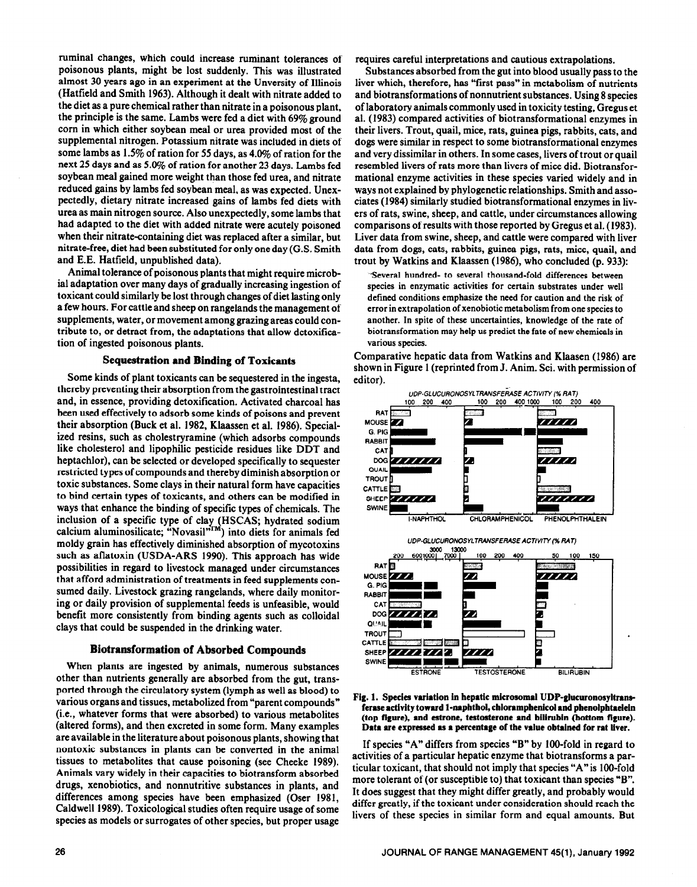ruminal changes, which could increase ruminant tolerances of poisonous plants, might be lost suddenly. This was illustrated almost 30 years ago in an experiment at the Unversity of Illinois (Hatfield and Smith 1963). Although it dealt with nitrate added to the diet as a pure chemical rather than nitrate in a poisonous plant, the principle is the same. Lambs were fed a diet with 69% ground corn in which either soybean meal or urea provided most of the supplemental nitrogen. Potassium nitrate was included in diets of some lambs as 1.5% of ration for 55 days, as 4.0% of ration for the next 25 days and as 5.0% of ration for another 23 days. Lambs fed soybean meal gained more weight than those fed urea, and nitrate reduced gains by lambs fed soybean meal, as was expected. Unexpectedly, dietary nitrate increased gains of lambs fed diets with urea as main nitrogen source. Also unexpectedly, some lambs that had adapted to the diet with added nitrate were acutely poisoned when their nitrate-containing diet was replaced after a similar, but nitrate-free, diet had been substituted for only one day (G.S. Smith and E.E. Hatfield, unpublished data).

Animal tolerance of poisonous plants that might require microbial adaptation over many days of gradually increasing ingestion of toxicant could similarly be lost through changes of diet lasting only a few hours. For cattle and sheep on rangelands the management of supplements, water, or movement among grazing areas could contribute to, or detract from, the adaptations that allow detoxification of ingested poisonous plants.

# **Sequestration and Binding of Toxicants**

Some kinds of plant toxicants can be sequestered in the ingesta, thereby preventing their absorption from the gastrointestinal tract and, in essence, providing detoxification. Activated charcoal has been used effectively to adsorb some kinds of poisons and prevent their absorption (Buck et al. 1982, Klaassen et al. 1986). Specialized resins, such as cholestryramine (which adsorbs compounds like cholesterol and lipophilic pesticide residues like DDT and heptachlor), can be selected or developed specifically to sequester restricted types of compounds and thereby diminish absorption or toxic substances. Some clays in their natural form have capacities to bind certain types of toxicants, and others can be modified in ways that enhance the binding of specific types of chemicals. The inclusion of a specific type of clay (HSCAS; hydrated sodium<br>calcium aluminosilicate: "Novasil"<sup>IM</sup>) into diets for animals fed calcium aluminosilicate; "Novasil" ) into diets for animals fed moldy grain has effectively diminished absorption of mycotoxins such as aflatoxin (USDA-ARS 1990). This approach has wide possibilities in regard to livestock managed under circumstances that afford administration of treatments in feed supplements consumed daily. Livestock grazing rangelands, where daily monitoring or daily provision of supplemental feeds is unfeasible, would benefit more consistently from binding agents such as colloidal clays that could be suspended in the drinking water.

## **Biotransformation of Absorbed Compounds**

When plants are ingested by animals, numerous substances other than nutrients generally are absorbed from the gut, transported through the circulatory system (lymph as well as blood) to various organs and tissues, metabolized from "parent compounds" (i.e., whatever forms that were absorbed) to various metabolites (altered forms), and then excreted in some form. Many examples are available in the literature about poisonous plants, showing that nontoxic substances in plants can be converted in the animal tissues to metabolites that cause poisoning (see Cheeke 1989). Animals vary widely in their capacities to biotransform absorbed drugs, xenobiotics, and nonnutritive substances in plants, and differences among species have been emphasized (Oser 1981, Caldwell 1989). Toxicological studies often require usage of some species as models or surrogates of other species, but proper usage

requires careful interpretations and cautious extrapolations.

Substances absorbed from the gut into blood usually pass to the liver which, therefore, has "first pass" in metabolism of nutrients and biotransformations of nonnutrient substances. Using 8 species of laboratory animals commonly used in toxicity testing, Gregus et al. (1983) compared activities of biotransformational enzymes in their livers. Trout, quail, mice, rats, guinea pigs, rabbits, cats, and dogs were similar in respect to some biotransformational enzymes and very dissimilar in others. In some cases, livers of trout or quail resembled livers of rats more than livers of mice did. Biotransformational enzyme activities in these species varied widely and in ways not explained by phylogenetic relationships. Smith and associates (1984) similarly studied biotransformational enzymes in livers of rats, swine, sheep, and cattle, under circumstances allowing comparisons of results with those reported by Gregus et al. (1983). Liver data from swine, sheep, and cattle were compared with liver data from dogs, cats, rabbits, guinea pigs, rats, mice, quail, and trout by Watkins and Klaassen (1986), who concluded (p. 933):

3everal hundred- to several thousand-fold differences between species in enzymatic activities for certain substrates under well defined conditions emphasize the need for caution and the risk of error in extrapolation of xenobiotic metabolism from one species to another. In spite of these uncertainties, knowledge of the rate of biotransformation may help us predict the fate of new chemicals in various species.

Comparative hepatic data from Watkins and Klaasen (1986) are shown in Figure 1 (reprinted from J. Anim. Sci. with permission of editor).



#### Fig. 1. Species variation in hepatic microsomal UDP-glucuronosyltransferase activity toward 1-naphthol, chloramphenicol and phenolphtaelein **(top figure), and estrone, testosterone and bilirubin (bottom figure). Data are expressed as a percentage of the value obtained for rat liver.**

If species "A" differs from species "B" by lOO-fold in regard to activities of a particular hepatic enzyme that biotransforms a particular toxicant, that should not imply that species "A"is lOO-fold more tolerant of (or susceptible to) that toxicant than species "B". It does suggest that they might differ greatly, and probably would differ greatly, if the toxicant under consideration should reach the livers of these species in similar form and equal amounts. But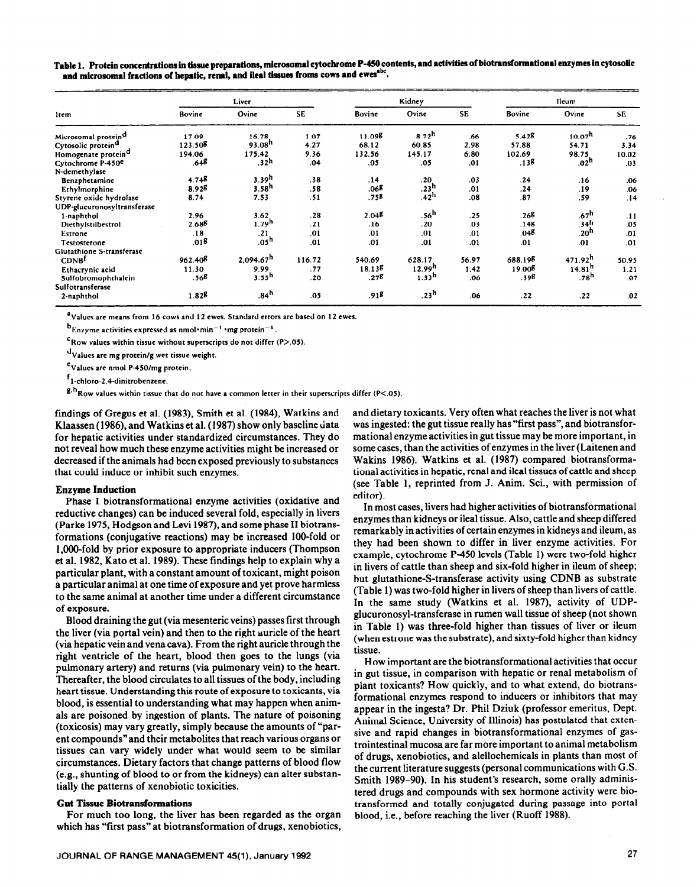Table 1. Protein concentrations in tissue preparations, microsomal cytochrome P-450 contents, and activities of biotransformational enzymes in cytosolic and microsomal fractions of hepatic, renal, and ileal tissues froms cows and ewes<sup>abc</sup>.

| Item                            | Liver        |                       |           | Kidney           |                    |           | lleum              |                     |       |
|---------------------------------|--------------|-----------------------|-----------|------------------|--------------------|-----------|--------------------|---------------------|-------|
|                                 | Bovine       | Ovine                 | <b>SE</b> | <b>Bovine</b>    | Ovine              | <b>SE</b> | <b>Bovine</b>      | Ovine               | SE.   |
| Microsomal protein <sup>d</sup> | 17.09        | 16.78                 | 1.07      | 11.098           | 8.72 <sup>h</sup>  | .66       | 5.428              | 10.07 <sup>h</sup>  | .76   |
| Cytosolic protein <sup>d</sup>  | 123.508      | 93.08h                | 4.27      | 68.12            | 60.85              | 2.98      | 57.88              | 54.71               | 3.34  |
| Homogenate protein <sup>d</sup> | 194.06       | 175.42                | 9.36      | 132.56           | 145.17             | 6.80      | 102.69             | 98.75               | 10.02 |
| Cytochrome P-450e               | .648         | .32h                  | .04       | .05              | .05                | .01       | .138               | .02 <sup>h</sup>    | .03   |
| N-demethylase                   |              |                       |           |                  |                    |           |                    |                     |       |
| Benzphetamine                   | 4.748        | 3.39 <sup>h</sup>     | .38       | .14              | .20.               | .03       | .24                | .16                 | .06   |
| Ethylmorphine                   | 8.928        | 3.58 <sup>h</sup>     | .58       | .06 <sup>g</sup> | $.23^{h}$          | .01       | .24                | .19                 | .06   |
| Styrene oxide hydrolase         | 8.74         | 7.53                  | .51       | .758             | .42 <sup>h</sup>   | .08       | .87                | .59                 | .14   |
| UDP-glucuronosyltransferase     |              |                       |           |                  |                    |           |                    |                     |       |
| 1-naphthol                      | 2.96         | 3.62                  | .28       | 2.048            | .56 <sup>h</sup>   | .25       | .268               | .67 <sup>h</sup>    | .11   |
| Diethylstilbestrol              | 2.688        | 1.79 <sup>h</sup>     | .21       | .16              | .20                | .03       | .148               | .34h                | .05   |
| Estrone                         | .18          | .21                   | .01       | .01              | .01                | .01       | .048               | .20 <sup>h</sup>    | .01   |
| Testosterone                    | .018         | $.05^{\rm h}$         | .01       | .01              | .01                | .01       | .01                | .01                 | .01   |
| Glutathione S-transferase       |              |                       |           |                  |                    |           |                    |                     |       |
| <b>CDNB</b> <sup>t</sup>        | $962.40^{8}$ | 2,094.67 <sup>h</sup> | 116.72    | 540.69           | 628.17             | 56.97     | 688.198            | 471.92 <sup>h</sup> | 50.95 |
| Ethacrynic acid                 | 11.30        | 9.99                  | .77       | 18.138           | 12.99 <sup>h</sup> | 1.42      | 19.00 <sup>g</sup> | 14.81 <sup>n</sup>  | 1.21  |
| Sulfobromophthalein             | .568         | 3.55 <sup>h</sup>     | .20       | .278             | 1.33 <sup>h</sup>  | .06       | .398               | .78 <sup>h</sup>    | .07   |
| Sulfotransferase                |              |                       |           |                  |                    |           |                    |                     |       |
| 2-naphthol                      | 1.828        | .84 <sup>h</sup>      | .05       | .918             | .23 <sup>h</sup>   | .06       | .22                | .22                 | .02   |

<sup>a</sup>Values are means from 16 cows and 12 ewes. Standard errors are based on 12 ewes.

 $b_{\text{Enzyme activities expressed as nmol·min}^{-1}}$  · mg protein<sup>-1</sup>.

 $c$ Row values within tissue without superscripts do not differ (P>.05).

d<sub>Values</sub> are mg protein/g wet tissue weight.

eValues are nmol P-450/mg protein.

f<sub>1</sub>-chloro-2,4-dinitrobenzene.

 $g, h$ Row values within tissue that do not have a common letter in their superscripts differ (P<.05).

findings of Gregus et al. (1983), Smith et al. (1984), Watkins and Klaassen (1986), and Watkins et al. (1987) show only baseline data for hepatic activities under standardized circumstances. They do not reveal how much these enzyme activities might be increased or decreased if the animals had been exposed previously to substances that could induce or inhibit such enzymes.

#### **Enzyme Induction**

Phase I biotransformational enzyme activities (oxidative and reductive changes) can be induced several fold, especially in livers (Parke 1975, Hodgson and Levi 1987), and some phase II biotransformations (conjugative reactions) may be increased 100-fold or 1,000-fold by prior exposure to appropriate inducers (Thompson et al. 1982, Kato et al. 1989). These findings help to explain why a particular plant, with a constant amount of toxicant, might poison a particular animal at one time of exposure and yet prove harmless to the same animal at another time under a different circumstance of exposure.

Blood draining the gut (via mesenteric veins) passes first through the liver (via portal vein) and then to the right auricle of the heart (via hepatic vein and vena cava). From the right auricle through the right ventricle of the heart, blood then goes to the lungs (via pulmonary artery) and returns (via pulmonary vein) to the heart. Thereafter, the blood circulates to all tissues of the body, including heart tissue. Understanding this route of exposure to toxicants, via blood, is essential to understanding what may happen when animals are poisoned by ingestion of plants. The nature of poisoning (toxicosis) may vary greatly, simply because the amounts of "parent compounds" and their metabolites that reach various organs or tissues can vary widely under what would seem to be similar circumstances. Dietary factors that change patterns of blood flow (e.g., shunting of blood to or from the kidneys) can alter substantially the patterns of xenobiotic toxicities.

## **Gut Tissue Biotransformations**

For much too long, the liver has been regarded as the organ which has "first pass" at biotransformation of drugs, xenobiotics, and dietary toxicants. Very often what reaches the liver is not what was ingested: the gut tissue really has "first pass", and biotransformational enzyme activities in gut tissue may be more important, in some cases, than the activities of enzymes in the liver (Laitenen and Wakins 1986). Watkins et al. (1987) compared biotransformational activities in hepatic, renal and ileal tissues of cattle and sheep (see Table 1, reprinted from J. Anim. Sci., with permission of editor).

In most cases, livers had higher activities of biotransformational enzymes than kidneys or ileal tissue. Also, cattle and sheep differed remarkably in activities of certain enzymes in kidneys and ileum, as they had been shown to differ in liver enzyme activities. For example, cytochrome P-450 levels (Table 1) were two-fold higher in livers of cattle than sheep and six-fold higher in ileum of sheep; but glutathione-S-transferase activity using CDNB as substrate (Table 1) was two-fold higher in livers of sheep than livers of cattle. In the same study (Watkins et al. 1987), activity of UDPglucuronosyl-transferase in rumen wall tissue of sheep (not shown in Table 1) was three-fold higher than tissues of liver or ileum (when estrone was the substrate), and sixty-fold higher than kidney tissue.

How important are the biotransformational activities that occur in gut tissue, in comparison with hepatic or renal metabolism of plant toxicants? How quickly, and to what extend, do biotransformational enzymes respond to inducers or inhibitors that may appear in the ingesta? Dr. Phil Dziuk (professor emeritus, Dept. Animal Science, University of Illinois) has postulated that extensive and rapid changes in biotransformational enzymes of gastrointestinal mucosa are far more important to animal metabolism of drugs, xenobiotics, and alellochemicals in plants than most of the current literature suggests (personal communications with G.S. Smith 1989–90). In his student's research, some orally administered drugs and compounds with sex hormone activity were biotransformed and totally conjugated during passage into portal blood, i.e., before reaching the liver (Ruoff 1988).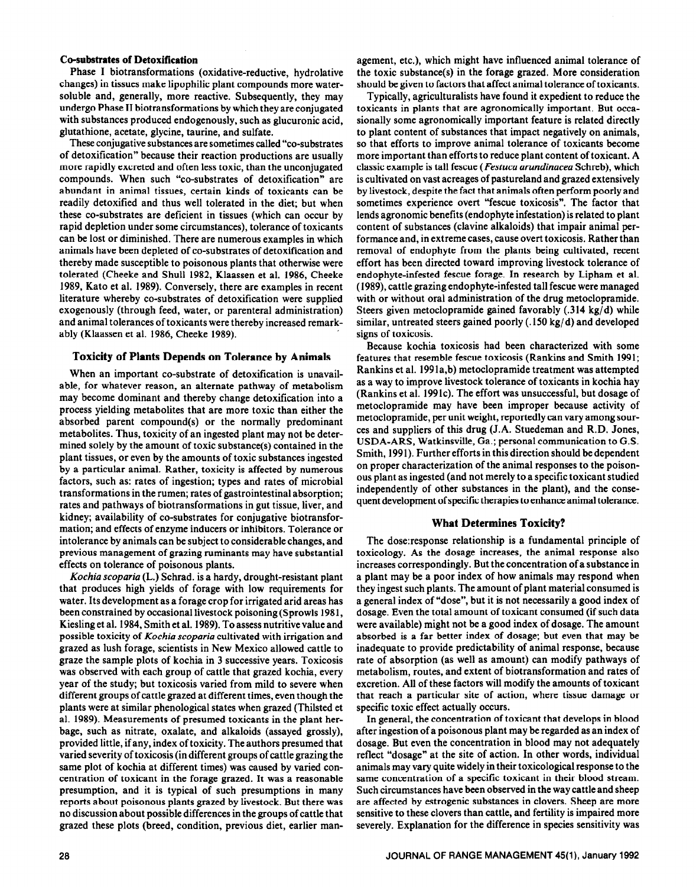#### **Co-substrates of Detoxification**

Phase I biotransformations (oxidative-reductive, hydrolative changes) in tissues make lipophilic plant compounds more watersoluble and, generally, more reactive. Subsequently, they may undergo Phase II biotransformations by which they are conjugated with substances produced endogenously, such as glucuronic acid, glutathione, acetate, glycine, taurine, and sulfate.

These conjugative substances are sometimes called "co-substrates of detoxification" because their reaction productions are usually more rapidly excreted and often less toxic, than the unconjugated compounds. When such "co-substrates of detoxification" are abundant in animal tissues, certain kinds of toxicants can be readily detoxified and thus well tolerated in the diet; but when these co-substrates are deficient in tissues (which can occur by rapid depletion under some circumstances), tolerance of toxicants can be lost or diminished. There are numerous examples in which animals have been depleted of co-substrates of detoxification and thereby made susceptible to poisonous plants that otherwise were tolerated (Cheeke and Shull 1982, Klaassen et al. 1986, Cheeke 1989, Kato et al. 1989). Conversely, there are examples in recent literature whereby co-substrates of detoxification were supplied exogenously (through feed, water, or parenteral administration) and animal tolerances of toxicants were thereby increased remarkably (Klaassen et al. 1986, Cheeke 1989).

## **Toxicity of Plants Depends on Tolerance by Animals**

When an important co-substrate of detoxification is unavailable, for whatever reason, an alternate pathway of metabolism may become dominant and thereby change detoxification into a process yielding metabolites that are more toxic than either the absorbed parent compound(s) or the normally predominant metabolites. Thus, toxicity of an ingested plant may not be determined solely by the amount of toxic substance(s) contained in the plant tissues, or even by the amounts of toxic substances ingested by a particular animal. Rather, toxicity is affected by numerous factors, such as: rates of ingestion; types and rates of microbial transformations in the rumen; rates of gastrointestinal absorption; rates and pathways of biotransformations in gut tissue, liver, and kidney; availability of co-substrates for conjugative biotransformation; and effects of enzyme inducers or inhibitors. Tolerance or intolerance by animals can be subject to considerable changes, and previous management of grazing ruminants may have substantial effects on tolerance of poisonous plants.

*Kochiu scoparia* (L.) Schrad. is a hardy, drought-resistant plant that produces high yields of forage with low requirements for water. Its development as a forage crop for irrigated arid areas has been constrained by occasional livestock poisoning(Sprowls 1981, Kiesling et al. 1984, Smith et al. 1989). To assess nutritive value and possible toxicity of *Kochia scoparia* cultivated with irrigation and grazed as lush forage, scientists in New Mexico allowed cattle to graze the sample plots of kochia in 3 successive years. Toxicosis was observed with each group of cattle that grazed kochia, every year of the study; but toxicosis varied from mild to severe when different groups of cattle grazed at different times, even though the plants were at similar phenological states when grazed (Thilsted et al. 1989). Measurements of presumed toxicants in the plant herbage, such as nitrate, oxalate, and alkaloids (assayed grossly), provided little, if any, index of toxicity. The authors presumed that varied severity of toxicosis (in different groups of cattle grazing the same plot of kochia at different times) was caused by varied concentration of toxicant in the forage grazed. It was a reasonable presumption, and it is typical of such presumptions in many reports about poisonous plants grazed by livestock. But there was no discussion about possible differences in the groups of cattle that grazed these plots (breed, condition, previous diet, earlier management, etc.), which might have influenced animal tolerance of the toxic substance(s) in the forage grazed. More consideration should be given to factors that affect animal tolerance of toxicants.

Typically, agriculturalists have found it expedient to reduce the toxicants in plants that are agronomically important. But occasionally some agronomically important feature is related directly to plant content of substances that impact negatively on animals, so that efforts to improve animal tolerance of toxicants become more important than efforts to reduce plant content of toxicant. A classic example is tall fescue (Festucu *arundinaceu* Schreb), which is cultivated on vast acreages of pastureland and grazed extensively by livestock, despite the fact that animals often perform poorly and sometimes experience overt "fescue toxicosis". The factor that lends agronomic benefits (endophyte infestation) is related to plant content of substances (clavine alkaloids) that impair animal performance and, in extreme cases, cause overt toxicosis. Rather than removal of endophyte from the plants being cultivated, recent effort has been directed toward improving livestock tolerance of endophyte-infested fescue forage. In research by Lipham et al. (1989), cattle grazing endophyte-infested tall fescue were managed with or without oral administration of the drug metoclopramide. Steers given metoclopramide gained favorably (.314 kg/d) while similar, untreated steers gained poorly (. 150 kg/d) and developed signs of toxicosis.

Because kochia toxicosis had been characterized with some features that resemble fescue toxicosis (Rankins and Smith 1991; Rankins et al. 199la,b) metoclopramide treatment was attempted as a way to improve livestock tolerance of toxicants in kochia hay (Rankins et al. 1991c). The effort was unsuccessful, but dosage of metoclopramide may have been improper because activity of metoclopramide, per unit weight, reportedly can vary among **sources and suppliers of this drug** (J.A. Stuedeman and R.D. Jones, USDA-ARS, Watkinsville, Ga.; personal communication to G.S. Smith, 1991). Further efforts in this direction should be dependent on proper characterization of the animal responses to the poisonous plant as ingested (and not merely to a specific toxicant studied independently of other substances in the plant), and the consequent development of specific therapies to enhance animal tolerance.

## **What Determines Toxicity?**

The dose:response relationship is a fundamental principle of toxicology. As the dosage increases, the animal response also increases correspondingly. But the concentration of a substance in a plant may be a poor index of how animals may respond when they ingest **such plants. The amount of plant material consumed is a** general index of "dose", but it is not necessarily a good index of dosage. Even the total amount of toxicant consumed (if such data were available) might not be a good index of dosage. The amount absorbed is a far better index of dosage; but even that may be inadequate to provide predictability of animal response, because rate of absorption (as well as amount) can modify pathways of metabolism, routes, and extent of biotransformation and rates of excretion. All of these factors will modify the amounts of toxicant that reach a particular site of action, where tissue damage or specific toxic effect actually occurs.

In general, the concentration of toxicant that develops in blood after ingestion of a poisonous plant may be regarded as an index of dosage. But even the concentration in blood may not adequately reflect "dosage" at the site of action. In other words, individual animals may vary quite widely in their toxicological response to the same concentration of a specific toxicant in their blood stream. Such circumstances have been **observed in the way cattle and sheep**  are affected by estrogenic substances in clovers. Sheep are more sensitive to these clovers than cattle, and fertility is impaired more severely. Explanation for the difference in species sensitivity was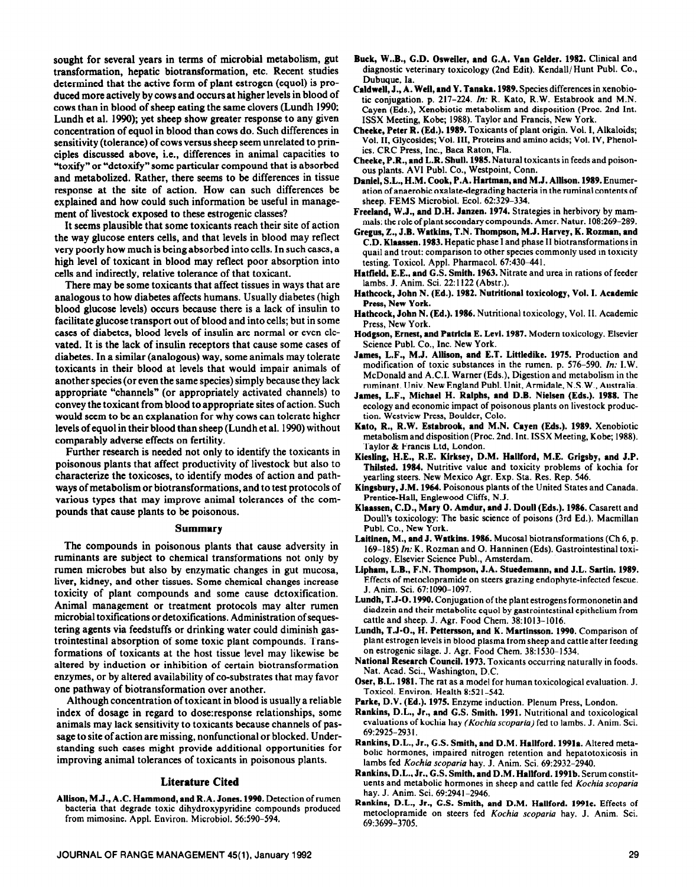sought for several years in terms of microbial metabolism, gut transformation, hepatic biotransformation, etc. Recent studies determined that the active form of plant estrogen (equol) is produced more actively by cows and occurs at higher levels in blood of cows than in blood of sheep eating the same clovers (Lundh 1990; Lundh et al. 1990); yet sheep show greater response to any given concentration of equol in blood than cows do. Such differences in sensitivity (tolerance) of cows versus sheep seem unrelated to principles discussed above, i.e., differences in animal capacities to "toxify" or "detoxify"some particular compound that is absorbed and metabolized. Rather, there seems to be differences in tissue response at the site of action. How can such differences be explained and how could such information be useful in management of livestock exposed to these estrogenic classes?

It seems plausible that some toxicants reach their site of action the way glucose enters cells, and that levels in blood may reflect very poorly how much is being absorbed into cells. In such cases, a high level of toxicant in blood may reflect poor absorption into cells and indirectly, relative tolerance of that toxicant.

There may be some toxicants that affect tissues in ways that are analogous to how diabetes affects humans. Usually diabetes (high blood glucose levels) occurs because there is a lack of insulin to facilitate glucose transport out of blood and into cells; but in some cases of diabetes, blood levels of insulin are normal or even elevated. It is the lack of insulin receptors that cause some cases of diabetes. In a similar (analogous) way, some animals may tolerate toxicants in their blood at levels that would impair animals of another species (or even the same species) simply because they lack appropriate "channels" (or appropriately activated channels) to convey the toxicant from blood to appropriate sites of action. Such would seem to be an explanation for why cows can tolerate higher levels of equol in their blood than sheep (Lundh et al. 1990) without comparably adverse effects on fertility.

Further research is needed not only to identify the toxicants in poisonous plants that affect productivity of livestock but also to characterize the toxicoses, to identify modes of action and pathways of metabolism or biotransformations, and to test protocols of various types that may improve animal tolerances of the compounds that cause plants to be poisonous.

#### **Summary**

The compounds in poisonous plants that cause adversity in ruminants are subject to chemical transformations not only by rumen microbes but also by enzymatic changes in gut mucosa, liver, kidney, and other tissues. Some chemical changes increase toxicity of plant compounds and some cause detoxification. Animal management or treatment protocols may alter rumen microbial toxitications or detoxiflcations. Administration of sequestering agents via feedstuffs or drinking water could diminish gastrointestinal absorption of some toxic plant compounds. Transformations of toxicants at the host tissue level may likewise be altered by induction or inhibition of certain biotransformation enzymes, or by altered availability of co-substrates that may favor one pathway of biotransformation over another.

Although concentration of toxicant in blood is usually a reliable index of dosage in regard to dose:response relationships, some animals may lack sensitivity to toxicants because channels of passage to site of action are missing, nonfunctional or blocked. Understanding such cases might provide additional opportunities for improving animal tolerances of toxicants in poisonous plants.

# **Literature Cited**

**Allison, M.J.,** *A.C.* **Hammond, and R.A. Jones. 1990.** Detection of rumen bacteria that degrade toxic dihydroxypyridine compounds produced from mimosine. Appl. Environ. Microbiol. 56:590-594.

- **Buck, W..B., G.D. Osweiler, and G.A. Van Gelder. 1982.** Clinical and diagnostic veterinary toxicology (2nd Edit). Kendall/ Hunt Publ. CO., Dubuque, la.
- **Caldwell, J., A. Well, and Y. Tanaka. 1989.** Species differences in xenobiotic conjugation. p. 217-224. *In:* R. Kato, R.W. Estabrook and M.N. Cayen (Eds.), Xenobiotic metabolism and disposition (Proc. 2nd lnt. ISSX Meeting, Kobe; 1988). Taylor and Francis, New York.
- **Cheeke, Peter R. (Ed.). 1989.** Toxicants of plant origin. Vol. I, Alkaloids; Vol. Il. Glvcosides: Vol. Ill. Proteins and amino acids: Vol. IV. Phenolics. CRC Press, Inc., Baca Raton, Fla.
- Cheeke, P.R., **and** L.R. **Shull. 1985.** Natural toxicants in feeds and poisonous plants. AVI Publ. Co., Westpoint, Conn.
- **Daniel, S.L., H.M. Cook, P.A. Hartman, and M.J. Allison. 1989.** Enumeration of anaerobic oxalate-degrading bacteria in the ruminal contents of sheep. FEMS Microbiol. Ecol. 62:329-334.
- Freehmd, W.J., and D.H. **Janzen. 1974.** Strategies in herbivory by mammals: the role of plant secondary compounds. Amer. Natur. 108:269-289.
- **Gregus, Z., J.B. Watkins, T.N. Thompson, M.J. Harvey, K. Rozman, and C.D. Klaassen. 1983. Hepatic** phase I and phase II biotransformations in quail and trout: comparison to other species commonly used in toxicity testing. Toxicol. Appl. Pharmacol. 67:430-441.
- **Hatfield, E.E., and G.S. Smith. 1963.** Nitrate and urea in rations of feeder lambs. J. Anim. Sci. 22: 1122 (Abstr.).
- **Hathcock, John N. (Ed.). 1982. Nutritional toxicology, Vol. I. Academic Press, New York.**
- **Hathcock, John N. (Ed.). 1986.** Nutritional toxicology, Vol. Il. Academic Press, New York.
- **Hodgson, Ernest, and Patricia E.** Levi. 1987. Modern toxicology. Elsevier Science Publ. Co., Inc. New York.
- **James, L.F., M.J. Allison, and E.T. Littledike. 1975.** Production and modification of toxic substances in the rumen. **p. 576-590. In:** I.W. McDonald and A.C.I. Warner (Eds.), Digestion and metabolism in the ruminant. Univ. New England Publ. Unit, Armidale, N.S.W., Australia.
- **James, L.F., Michael H. Ralphs, and D.B. Nielsen (Eds.). 1988.** The ecology and economic impact of poisonous plants on livestock production. Westview Press, Boulder, Colo.
- **Kato, R., R.W. Estabrook, and** M.N. **Cayen (Eds.).** 1989. Xenobiotic metabolism and disposition (Proc. 2nd. lnt. ISSX Meeting, Kobe; 1988). Taylor & Francis Ltd, London.
- **Kiesling, H.E., R.E. Kirksey, D.M. Hallford, M.E. Grigsby, and J.P. Thilsted. 1984. Nutritive value and toxicity problems of kochia** for yearling steers. New Mexico Agr. Exp. Sta. Res. Rep. 546.
- **Kingsbury, J.M. 1964. Poisonous plants of the United States and Canada. Prentice-Hall, Englewood Cliffs, N.J.**
- **Klaassen, C.D., Mary 0. Amdur, and J. Doull (Eds.). 1986.** Casarett and Doull's toxicology: The basic science of poisons (3rd Ed.). Macmillan Publ. Co., New York.
- **Laitinen, M., and J. Watkins. 1986.** Mucosal biotransformations (Ch 6, p. 169-185) *In:* K. Rozman and 0. Hanninen (Eds). Gastrointestinal toxicology, Elsevier Science Publ., Amsterdam.
- **Lipham, L.B., F.N. Thompson, J.A. Stuedemann, and J.L. Sartin. 1989.**  Effects of metoclopramide on steers grazing endophyte-infected fescue. J. Anim. Sci. 67:1090-1097.
- **Lundh,** T.J-0.1990. Conjugation of the plant estrogens formononetin and diadzein and their metabolite equal by gastrointestinal epithelium from cattle and sheep. J. Agr. Food **Chem. 38:1013-1016.**
- **Lundh, T.J-O., H. Pettersson, and K. Martinsson. 1990.** Comparison of plant estrogen levels in blood plasma from sheep and cattle after feeding on estrogenic silage. J. Agr. Food **Chem. 38: 1530-1534.**
- **National Research Council. 1973.** Toxicants occurring naturally in foods. Nat. Acad. Sci., Washington, D.C.
- *Oser, B.L.* **1981.** The rat as a model **for human toxicological evaluation. J. Toxicol. Environ. Health 8:521-542.**
- **Parke, D.V. (Ed.). 1975.** Enzyme induction. Plenum Press, London.
- **Rankins, D.L., Jr., and G.S. Smith. 1991. Nutritional and toxicological**  evaluations of kochia hay *(Kochiu scopariu)* **fed to lambs. J. Anim. Sci. 69:2925-2931.**
- **Rankins, D.L., Jr., G.S. Smith, and D.M. Hallford. 1991s.** Altered metabolic hormones, impaired nitrogen retention and hepatotoxicosis in lambs fed *Kochia scopariu* hay. J. Anim. Sci. 69:2932-2940.
- **Rankins, D.L., Jr., G.S. Smith, and D.M. Hallford. 1991b.** Serum constituents and metabolic **hormones in sheep and cattle fed** *Kochiu scopuriu*  hay. J. Anim. Sci. 69:2941-2946.
- Rankins, D.L., Jr., G.S. Smith, and D.M. Hallford. 1991c. Effects of metoclopramide on steers fed *Kochia scoparia* hay. J. Anim. Sci. 69:3699-3705.